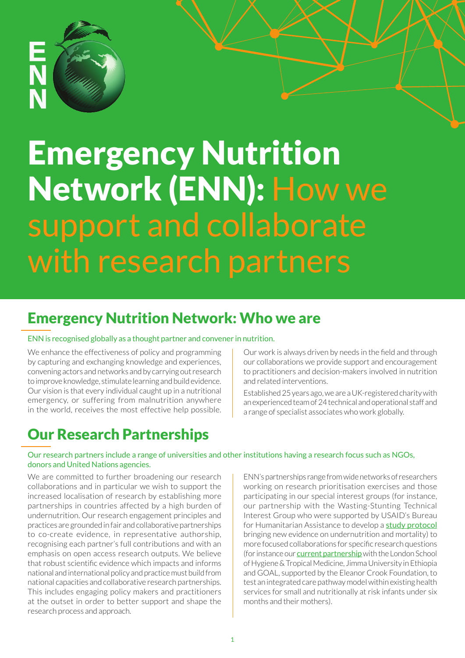

# Emergency Nutrition Network (ENN): How we support and collaborate with research partners

# Emergency Nutrition Network: Who we are

#### ENN is recognised globally as a thought partner and convener in nutrition.

We enhance the effectiveness of policy and programming by capturing and exchanging knowledge and experiences, convening actors and networks and by carrying out research to improve knowledge, stimulate learning and build evidence. Our vision is that every individual caught up in a nutritional emergency, or suffering from malnutrition anywhere in the world, receives the most effective help possible. Our work is always driven by needs in the field and through our collaborations we provide support and encouragement to practitioners and decision-makers involved in nutrition and related interventions.

Established 25 years ago, we are a UK-registered charity with an experienced team of 24 technical and operational staff and a range of specialist associates who work globally.

## Our Research Partnerships

#### Our research partners include a range of universities and other institutions having a research focus such as NGOs, donors and United Nations agencies.

We are committed to further broadening our research collaborations and in particular we wish to support the increased localisation of research by establishing more partnerships in countries affected by a high burden of undernutrition. Our research engagement principles and practices are grounded in fair and collaborative partnerships to co-create evidence, in representative authorship, recognising each partner's full contributions and with an emphasis on open access research outputs. We believe that robust scientific evidence which impacts and informs national and international policy and practice must build from national capacities and collaborative research partnerships. This includes engaging policy makers and practitioners at the outset in order to better support and shape the research process and approach.

ENN's partnerships range from wide networks of researchers working on research prioritisation exercises and those participating in our special interest groups (for instance, our partnership with the Wasting-Stunting Technical Interest Group who were supported by USAID's Bureau for Humanitarian Assistance to develop a **[study protocol](https://www.ennonline.net/attachments/4104/WaSt-study-protocol-ENN-2021.pdf)** bringing new evidence on undernutrition and mortality) to more focused collaborations for specific research questions (for instance our **[current partnership](https://www.ennonline.net/ourwork/research/mamiriseethiopia)** with the London School of Hygiene & Tropical Medicine, Jimma University in Ethiopia and GOAL, supported by the Eleanor Crook Foundation, to test an integrated care pathway model within existing health services for small and nutritionally at risk infants under six months and their mothers).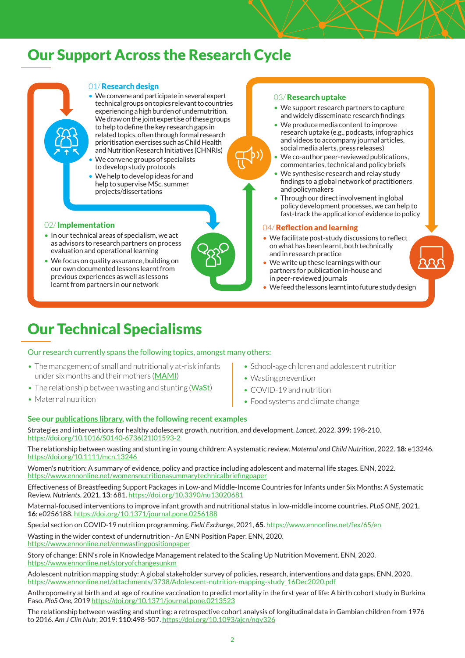### Our Support Across the Research Cycle

#### 01/Research design

- We convene and participate in several expert technical groups on topics relevant to countries experiencing a high burden of undernutrition. We draw on the joint expertise of these groups to help to define the key research gaps in related topics, often through formal research prioritisation exercises such as Child Health and Nutrition Research Initiatives (CHNRIs)
- We convene groups of specialists to develop study protocols
- We help to develop ideas for and help to supervise MSc. summer projects/dissertations

#### 02/ Implementation

- In our technical areas of specialism, we act as advisors to research partners on process evaluation and operational learning
- We focus on quality assurance, building on our own documented lessons learnt from previous experiences as well as lessons learnt from partners in our network



#### 03/**Research uptake**

- We support research partners to capture and widely disseminate research findings
- We produce media content to improve research uptake (e.g., podcasts, infographics and videos to accompany journal articles, social media alerts, press releases)
- We co-author peer-reviewed publications, commentaries, technical and policy briefs
- We synthesise research and relay study findings to a global network of practitioners and policymakers
- Through our direct involvement in global policy development processes, we can help to fast-track the application of evidence to policy

#### 04/ Reflection and learning

- We facilitate post-study discussions to reflect on what has been learnt, both technically and in research practice
- We write up these learnings with our partners for publication in-house and in peer-reviewed journals
- We feed the lessons learnt into future study design

## Our Technical Specialisms

Our research currently spans the following topics, amongst many others:

- The management of small and nutritionally at-risk infants under six months and their mothers ([MAMI](https://www.ennonline.net/ourwork/research/mami))
- The relationship between wasting and stunting ([WaSt](https://www.ennonline.net/ourwork/reviews/wastingstunting))
- Maternal nutrition
- School-age children and adolescent nutrition
- Wasting prevention
- COVID-19 and nutrition
- Food systems and climate change

#### **See our [publications library,](https://www.ennonline.net/ourwork/publications) with the following recent examples**

Strategies and interventions for healthy adolescent growth, nutrition, and development. *Lancet*, 2022. **399:** 198-210. [https://doi.org/10.1016/S0140-6736\(21\)01593-2](https://doi.org/10.1016/S0140-6736(21)01593-2)

The relationship between wasting and stunting in young children: A systematic review. *Maternal and Child Nutrition*, 2022. **18:** e13246. https://doi.org/10.1111/mcn.13246

Women's nutrition: A summary of evidence, policy and practice including adolescent and maternal life stages. ENN, 2022. https://www.ennonline.net/womensnutritionasummarytechnicalbriefingpaper

Effectiveness of Breastfeeding Support Packages in Low-and Middle-Income Countries for Infants under Six Months: A Systematic Review. *Nutrients*, 2021, **13**: 681. https://doi.org/10.3390/nu13020681

Maternal-focused interventions to improve infant growth and nutritional status in low-middle income countries. *PLoS ONE*, 2021, **16**: e0256188. https://doi.org/10.1371/journal.pone.0256188

Special section on COVID-19 nutrition programming. *Field Exchange*, 2021, **65**. https://www.ennonline.net/fex/65/en

Wasting in the wider context of undernutrition - An ENN Position Paper. ENN, 2020. https://www.ennonline.net/ennwastingpositionpaper

Story of change: ENN's role in Knowledge Management related to the Scaling Up Nutrition Movement. ENN, 2020. https://www.ennonline.net/storyofchangesunkm

Adolescent nutrition mapping study: A global stakeholder survey of policies, research, interventions and data gaps. ENN, 2020. https://www.ennonline.net/attachments/3738/Adolescent-nutrition-mapping-study\_16Dec2020.pdf

Anthropometry at birth and at age of routine vaccination to predict mortality in the first year of life: A birth cohort study in Burkina Faso. *PloS One*, 2019 https://doi.org/10.1371/journal.pone.0213523

The relationship between wasting and stunting: a retrospective cohort analysis of longitudinal data in Gambian children from 1976 to 2016. *Am J Clin Nutr*, 2019: **110**:498-507. https://doi.org/10.1093/ajcn/nqy326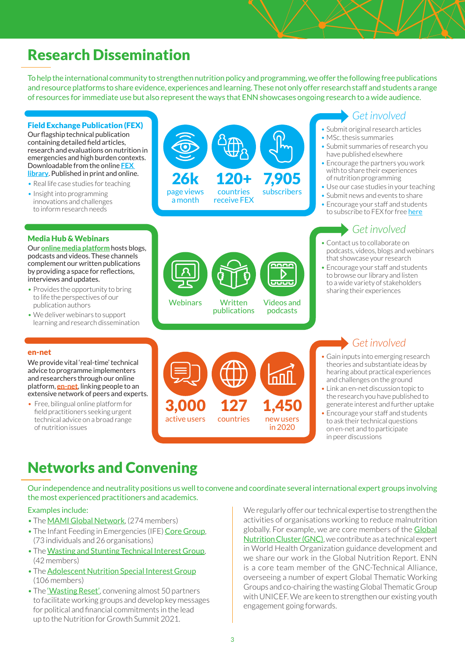# Research Dissemination

To help the international community to strengthen nutrition policy and programming, we offer the following free publications and resource platforms to share evidence, experiences and learning. These not only offer research staff and students a range of resources for immediate use but also represent the ways that ENN showcases ongoing research to a wide audience.

#### Field Exchange Publication (FEX)

Our flagship technical publication containing detailed field articles, research and evaluations on nutrition in emergencies and high burden contexts. Downloadable from the online **[FEX](https://www.ennonline.net/fex)  [library](https://www.ennonline.net/fex)**. Published in print and online.

- Real life case studies for teaching
- Insight into programming innovations and challenges to inform research needs

#### Media Hub & Webinars

Our **[online media platform](https://www.ennonline.net/mediahub)** hosts blogs, podcasts and videos. These channels complement our written publications by providing a space for reflections, interviews and updates.

- Provides the opportunity to bring to life the perspectives of our publication authors
- We deliver webinars to support learning and research dissemination



### *Get involved*

- Submit original research articles
- MSc. thesis summaries
- Submit summaries of research you have published elsewhere
- Encourage the partners you work with to share their experiences of nutrition programming
- Use our case studies in your teaching
- Submit news and events to share
- Encourage your staff and students to subscribe to FEX for free [here](https://www.ennonline.net/subscribe/fex/new)

### *Get involved*

- Contact us to collaborate on podcasts, videos, blogs and webinars that showcase your research
- Encourage your staff and students to browse our library and listen to a wide variety of stakeholders sharing their experiences

#### en-net

We provide vital 'real-time' technical advice to programme implementers and researchers through our online platform, **[en-net](https://www.en-net.org/)**, linking people to an extensive network of peers and experts.

• Free, bilingual online platform for field practitioners seeking urgent technical advice on a broad range of nutrition issues



Webinars Written Videos and

**Written** publications

podcasts

D  $\overline{\overline{\mathbf{u}}\overline{\mathbf{u}}\overline{\mathbf{u}}}$ 

### *Get involved*

- Gain inputs into emerging research theories and substantiate ideas by hearing about practical experiences and challenges on the ground
- Link an en-net discussion topic to the research you have published to generate interest and further uptake
- Encourage your staff and students to ask their technical questions on en-net and to participate in peer discussions

## Networks and Convening

Our independence and neutrality positions us well to convene and coordinate several international expert groups involving the most experienced practitioners and academics.

#### Examples include:

- The [MAMI Global Network](https://www.ennonline.net/ourwork/research/mami), (274 members)
- The Infant Feeding in Emergencies (IFE) [Core Group](https://www.ennonline.net/ife), (73 individuals and 26 organisations)
- The [Wasting and Stunting Technical Interest Group](https://www.ennonline.net/ourwork/reviews/wastingstunting), (42 members)
- The [Adolescent Nutrition Special Interest Group](https://www.ennonline.net/adolescentnutritionmeetingreport2021) (106 members)
- The ['Wasting Reset'](https://www.ennonline.net/wasting-reset-fss-n4g), convening almost 50 partners to facilitate working groups and develop key messages for political and financial commitments in the lead up to the Nutrition for Growth Summit 2021.

We regularly offer our technical expertise to strengthen the activities of organisations working to reduce malnutrition globally. For example, we are core members of the [Global](https://ta.nutritioncluster.net/)  [Nutrition Cluster \(GNC\)](https://ta.nutritioncluster.net/), we contribute as a technical expert in World Health Organization guidance development and we share our work in the Global Nutrition Report. ENN is a core team member of the GNC-Technical Alliance, overseeing a number of expert Global Thematic Working Groups and co-chairing the wasting Global Thematic Group with UNICEF. We are keen to strengthen our existing youth engagement going forwards.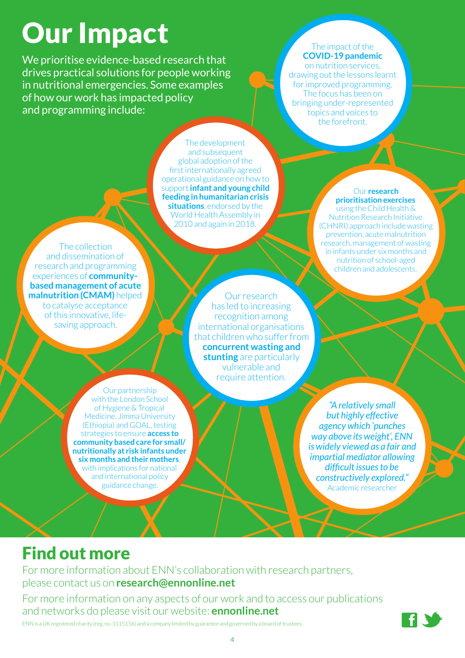# Our Impact

We prioritise evidence-based research that drives practical solutions for people working in nutritional emergencies. Some examples of how our work has impacted policy and programming include:

#### The impact of the **COVID-19 pandemic** on nutrition services, drawing out the lessons learnt for improved programming.

The focus has been on bringing under-represented topics and voices to the forefront.

The development and subsequent global adoption of the first internationally agreed operational guidance on how to support **infant and young child feeding in humanitarian crisis situations**, endorsed by the World Health Assembly in 2010 and again in 2018.

#### Our **research prioritisation exercises** using the Child Health &

Nutrition Research Initiative (CHNRI) approach include wasting prevention, acute malnutrition research, management of wasting in infants under six months and nutrition of school-aged children and adolescents.

The collection and dissemination of research and programming experiences of **communitybased management of acute malnutrition (CMAM)** helped to catalyse acceptance of this innovative, lifesaving approach.

Our research has led to increasing recognition among international organisations that children who suffer from **concurrent wasting and stunting** are particularly vulnerable and require attention.

Our partnership with the London School of Hygiene & Tropical Medicine, Jimma University (Ethiopia) and GOAL, testing strategies to ensure **access to community based care for small/ nutritionally at risk infants under six months and their mothers**, with implications for national and international policy guidance change.

*"A relatively small but highly effective agency which 'punches way above its weight', ENN is widely viewed as a fair and impartial mediator allowing difficult issues to be constructively explored."* Academic researcher

# Find out more

For more information about ENN's collaboration with research partners, please contact us on **[research@ennonline.net](mailto:research@ennonline.net)**

For more information on any aspects of our work and to access our publications and networks do please visit our website: **[ennonline.net](http://ennonline.net)** ENN is a UK registered charity (reg. no. 1115156) and a company limited by guarantee and governed by a board of trustees.